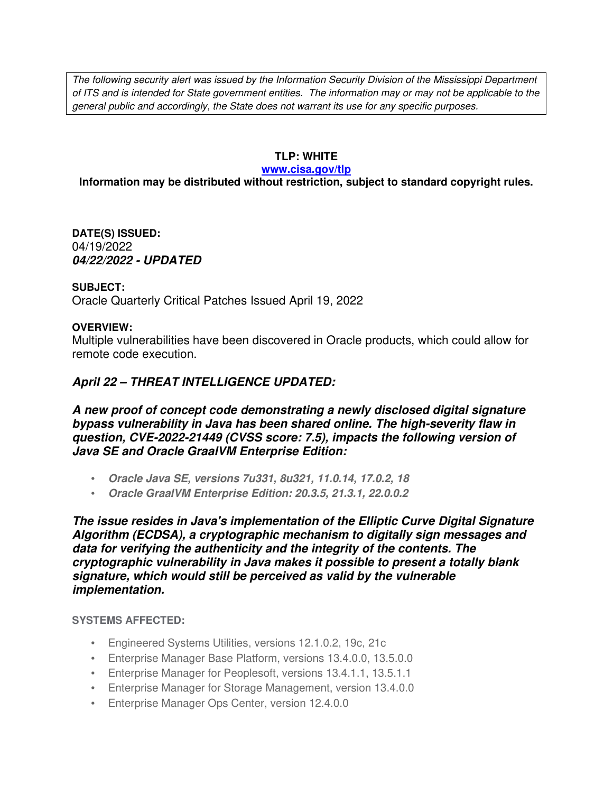The following security alert was issued by the Information Security Division of the Mississippi Department of ITS and is intended for State government entities. The information may or may not be applicable to the general public and accordingly, the State does not warrant its use for any specific purposes.

## **TLP: WHITE**

#### **www.cisa.gov/tlp**

# **Information may be distributed without restriction, subject to standard copyright rules.**

**DATE(S) ISSUED:** 04/19/2022 *04/22/2022 - UPDATED*

## **SUBJECT:**

Oracle Quarterly Critical Patches Issued April 19, 2022

## **OVERVIEW:**

Multiple vulnerabilities have been discovered in Oracle products, which could allow for remote code execution.

# *April 22 – THREAT INTELLIGENCE UPDATED:*

*A new proof of concept code demonstrating a newly disclosed digital signature bypass vulnerability in Java has been shared online. The high-severity flaw in question, CVE-2022-21449 (CVSS score: 7.5), impacts the following version of Java SE and Oracle GraalVM Enterprise Edition:*

- *Oracle Java SE, versions 7u331, 8u321, 11.0.14, 17.0.2, 18*
- *Oracle GraalVM Enterprise Edition: 20.3.5, 21.3.1, 22.0.0.2*

*The issue resides in Java's implementation of the Elliptic Curve Digital Signature Algorithm (ECDSA), a cryptographic mechanism to digitally sign messages and data for verifying the authenticity and the integrity of the contents. The cryptographic vulnerability in Java makes it possible to present a totally blank signature, which would still be perceived as valid by the vulnerable implementation.*

### **SYSTEMS AFFECTED:**

- Engineered Systems Utilities, versions 12.1.0.2, 19c, 21c
- Enterprise Manager Base Platform, versions 13.4.0.0, 13.5.0.0
- Enterprise Manager for Peoplesoft, versions 13.4.1.1, 13.5.1.1
- Enterprise Manager for Storage Management, version 13.4.0.0
- Enterprise Manager Ops Center, version 12.4.0.0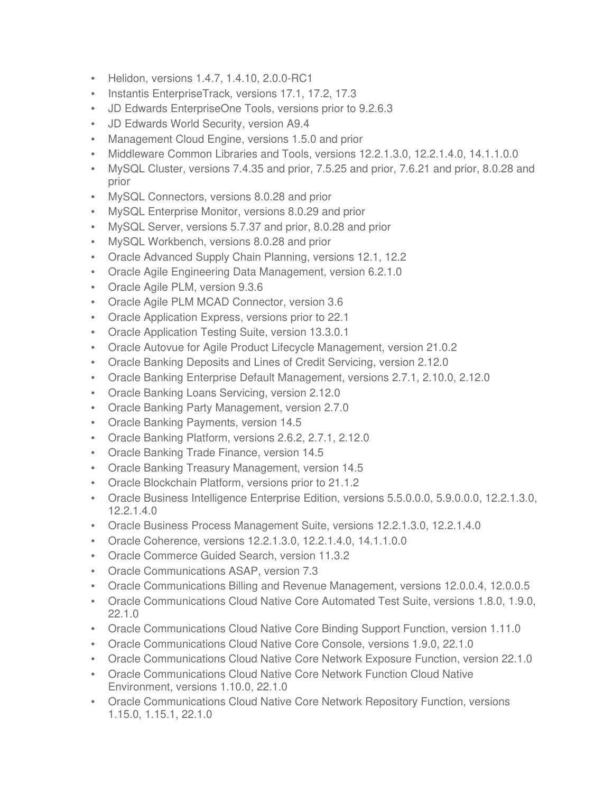- Helidon, versions 1.4.7, 1.4.10, 2.0.0-RC1
- Instantis EnterpriseTrack, versions 17.1, 17.2, 17.3
- JD Edwards EnterpriseOne Tools, versions prior to 9.2.6.3
- JD Edwards World Security, version A9.4
- Management Cloud Engine, versions 1.5.0 and prior
- Middleware Common Libraries and Tools, versions 12.2.1.3.0, 12.2.1.4.0, 14.1.1.0.0
- MySQL Cluster, versions 7.4.35 and prior, 7.5.25 and prior, 7.6.21 and prior, 8.0.28 and prior
- MySQL Connectors, versions 8.0.28 and prior
- MySQL Enterprise Monitor, versions 8.0.29 and prior
- MySQL Server, versions 5.7.37 and prior, 8.0.28 and prior
- MySQL Workbench, versions 8.0.28 and prior
- Oracle Advanced Supply Chain Planning, versions 12.1, 12.2
- Oracle Agile Engineering Data Management, version 6.2.1.0
- Oracle Agile PLM, version 9.3.6
- Oracle Agile PLM MCAD Connector, version 3.6
- Oracle Application Express, versions prior to 22.1
- Oracle Application Testing Suite, version 13.3.0.1
- Oracle Autovue for Agile Product Lifecycle Management, version 21.0.2
- Oracle Banking Deposits and Lines of Credit Servicing, version 2.12.0
- Oracle Banking Enterprise Default Management, versions 2.7.1, 2.10.0, 2.12.0
- Oracle Banking Loans Servicing, version 2.12.0
- Oracle Banking Party Management, version 2.7.0
- Oracle Banking Payments, version 14.5
- Oracle Banking Platform, versions 2.6.2, 2.7.1, 2.12.0
- Oracle Banking Trade Finance, version 14.5
- Oracle Banking Treasury Management, version 14.5
- Oracle Blockchain Platform, versions prior to 21.1.2
- Oracle Business Intelligence Enterprise Edition, versions 5.5.0.0.0, 5.9.0.0.0, 12.2.1.3.0, 12.2.1.4.0
- Oracle Business Process Management Suite, versions 12.2.1.3.0, 12.2.1.4.0
- Oracle Coherence, versions 12.2.1.3.0, 12.2.1.4.0, 14.1.1.0.0
- Oracle Commerce Guided Search, version 11.3.2
- Oracle Communications ASAP, version 7.3
- Oracle Communications Billing and Revenue Management, versions 12.0.0.4, 12.0.0.5
- Oracle Communications Cloud Native Core Automated Test Suite, versions 1.8.0, 1.9.0, 22.1.0
- Oracle Communications Cloud Native Core Binding Support Function, version 1.11.0
- Oracle Communications Cloud Native Core Console, versions 1.9.0, 22.1.0
- Oracle Communications Cloud Native Core Network Exposure Function, version 22.1.0
- Oracle Communications Cloud Native Core Network Function Cloud Native Environment, versions 1.10.0, 22.1.0
- Oracle Communications Cloud Native Core Network Repository Function, versions 1.15.0, 1.15.1, 22.1.0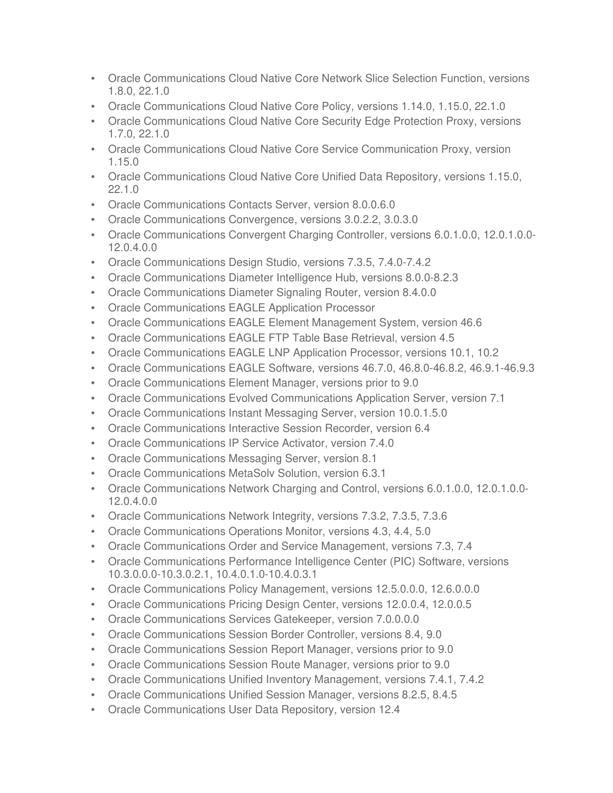- Oracle Communications Cloud Native Core Network Slice Selection Function, versions 1.8.0, 22.1.0
- Oracle Communications Cloud Native Core Policy, versions 1.14.0, 1.15.0, 22.1.0
- Oracle Communications Cloud Native Core Security Edge Protection Proxy, versions 1.7.0, 22.1.0
- Oracle Communications Cloud Native Core Service Communication Proxy, version 1.15.0
- Oracle Communications Cloud Native Core Unified Data Repository, versions 1.15.0, 22.1.0
- Oracle Communications Contacts Server, version 8.0.0.6.0
- Oracle Communications Convergence, versions 3.0.2.2, 3.0.3.0
- Oracle Communications Convergent Charging Controller, versions 6.0.1.0.0, 12.0.1.0.0- 12.0.4.0.0
- Oracle Communications Design Studio, versions 7.3.5, 7.4.0-7.4.2
- Oracle Communications Diameter Intelligence Hub, versions 8.0.0-8.2.3
- Oracle Communications Diameter Signaling Router, version 8.4.0.0
- Oracle Communications EAGLE Application Processor
- Oracle Communications EAGLE Element Management System, version 46.6
- Oracle Communications EAGLE FTP Table Base Retrieval, version 4.5
- Oracle Communications EAGLE LNP Application Processor, versions 10.1, 10.2
- Oracle Communications EAGLE Software, versions 46.7.0, 46.8.0-46.8.2, 46.9.1-46.9.3
- Oracle Communications Element Manager, versions prior to 9.0
- Oracle Communications Evolved Communications Application Server, version 7.1
- Oracle Communications Instant Messaging Server, version 10.0.1.5.0
- Oracle Communications Interactive Session Recorder, version 6.4
- Oracle Communications IP Service Activator, version 7.4.0
- Oracle Communications Messaging Server, version 8.1
- Oracle Communications MetaSolv Solution, version 6.3.1
- Oracle Communications Network Charging and Control, versions 6.0.1.0.0, 12.0.1.0.0- 12.0.4.0.0
- Oracle Communications Network Integrity, versions 7.3.2, 7.3.5, 7.3.6
- Oracle Communications Operations Monitor, versions 4.3, 4.4, 5.0
- Oracle Communications Order and Service Management, versions 7.3, 7.4
- Oracle Communications Performance Intelligence Center (PIC) Software, versions 10.3.0.0.0-10.3.0.2.1, 10.4.0.1.0-10.4.0.3.1
- Oracle Communications Policy Management, versions 12.5.0.0.0, 12.6.0.0.0
- Oracle Communications Pricing Design Center, versions 12.0.0.4, 12.0.0.5
- Oracle Communications Services Gatekeeper, version 7.0.0.0.0
- Oracle Communications Session Border Controller, versions 8.4, 9.0
- Oracle Communications Session Report Manager, versions prior to 9.0
- Oracle Communications Session Route Manager, versions prior to 9.0
- Oracle Communications Unified Inventory Management, versions 7.4.1, 7.4.2
- Oracle Communications Unified Session Manager, versions 8.2.5, 8.4.5
- Oracle Communications User Data Repository, version 12.4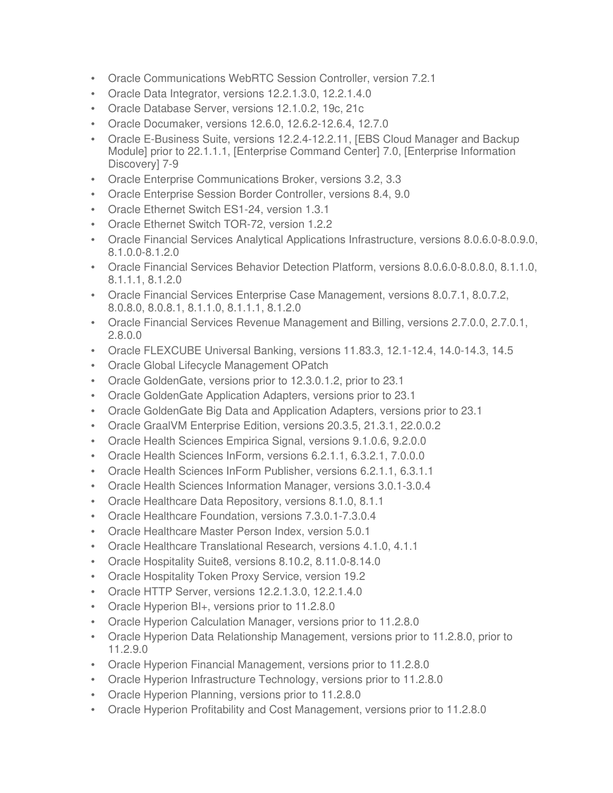- Oracle Communications WebRTC Session Controller, version 7.2.1
- Oracle Data Integrator, versions 12.2.1.3.0, 12.2.1.4.0
- Oracle Database Server, versions 12.1.0.2, 19c, 21c
- Oracle Documaker, versions 12.6.0, 12.6.2-12.6.4, 12.7.0
- Oracle E-Business Suite, versions 12.2.4-12.2.11, [EBS Cloud Manager and Backup Module] prior to 22.1.1.1, [Enterprise Command Center] 7.0, [Enterprise Information Discovery] 7-9
- Oracle Enterprise Communications Broker, versions 3.2, 3.3
- Oracle Enterprise Session Border Controller, versions 8.4, 9.0
- Oracle Ethernet Switch ES1-24, version 1.3.1
- Oracle Ethernet Switch TOR-72, version 1.2.2
- Oracle Financial Services Analytical Applications Infrastructure, versions 8.0.6.0-8.0.9.0, 8.1.0.0-8.1.2.0
- Oracle Financial Services Behavior Detection Platform, versions 8.0.6.0-8.0.8.0, 8.1.1.0, 8.1.1.1, 8.1.2.0
- Oracle Financial Services Enterprise Case Management, versions 8.0.7.1, 8.0.7.2, 8.0.8.0, 8.0.8.1, 8.1.1.0, 8.1.1.1, 8.1.2.0
- Oracle Financial Services Revenue Management and Billing, versions 2.7.0.0, 2.7.0.1, 2.8.0.0
- Oracle FLEXCUBE Universal Banking, versions 11.83.3, 12.1-12.4, 14.0-14.3, 14.5
- Oracle Global Lifecycle Management OPatch
- Oracle GoldenGate, versions prior to 12.3.0.1.2, prior to 23.1
- Oracle GoldenGate Application Adapters, versions prior to 23.1
- Oracle GoldenGate Big Data and Application Adapters, versions prior to 23.1
- Oracle GraalVM Enterprise Edition, versions 20.3.5, 21.3.1, 22.0.0.2
- Oracle Health Sciences Empirica Signal, versions 9.1.0.6, 9.2.0.0
- Oracle Health Sciences InForm, versions 6.2.1.1, 6.3.2.1, 7.0.0.0
- Oracle Health Sciences InForm Publisher, versions 6.2.1.1, 6.3.1.1
- Oracle Health Sciences Information Manager, versions 3.0.1-3.0.4
- Oracle Healthcare Data Repository, versions 8.1.0, 8.1.1
- Oracle Healthcare Foundation, versions 7.3.0.1-7.3.0.4
- Oracle Healthcare Master Person Index, version 5.0.1
- Oracle Healthcare Translational Research, versions 4.1.0, 4.1.1
- Oracle Hospitality Suite8, versions 8.10.2, 8.11.0-8.14.0
- Oracle Hospitality Token Proxy Service, version 19.2
- Oracle HTTP Server, versions 12.2.1.3.0, 12.2.1.4.0
- Oracle Hyperion BI+, versions prior to 11.2.8.0
- Oracle Hyperion Calculation Manager, versions prior to 11.2.8.0
- Oracle Hyperion Data Relationship Management, versions prior to 11.2.8.0, prior to 11.2.9.0
- Oracle Hyperion Financial Management, versions prior to 11.2.8.0
- Oracle Hyperion Infrastructure Technology, versions prior to 11.2.8.0
- Oracle Hyperion Planning, versions prior to 11.2.8.0
- Oracle Hyperion Profitability and Cost Management, versions prior to 11.2.8.0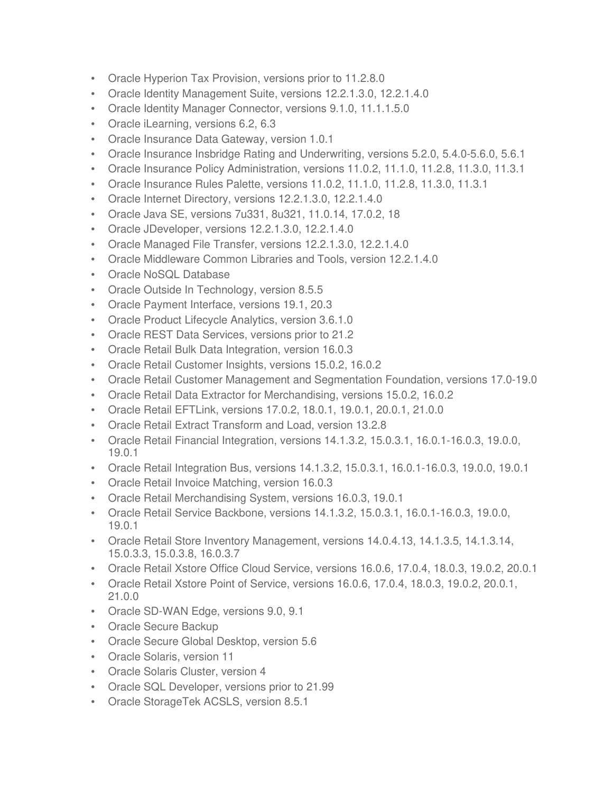- Oracle Hyperion Tax Provision, versions prior to 11.2.8.0
- Oracle Identity Management Suite, versions 12.2.1.3.0, 12.2.1.4.0
- Oracle Identity Manager Connector, versions 9.1.0, 11.1.1.5.0
- Oracle iLearning, versions 6.2, 6.3
- Oracle Insurance Data Gateway, version 1.0.1
- Oracle Insurance Insbridge Rating and Underwriting, versions 5.2.0, 5.4.0-5.6.0, 5.6.1
- Oracle Insurance Policy Administration, versions 11.0.2, 11.1.0, 11.2.8, 11.3.0, 11.3.1
- Oracle Insurance Rules Palette, versions 11.0.2, 11.1.0, 11.2.8, 11.3.0, 11.3.1
- Oracle Internet Directory, versions 12.2.1.3.0, 12.2.1.4.0
- Oracle Java SE, versions 7u331, 8u321, 11.0.14, 17.0.2, 18
- Oracle JDeveloper, versions 12.2.1.3.0, 12.2.1.4.0
- Oracle Managed File Transfer, versions 12.2.1.3.0, 12.2.1.4.0
- Oracle Middleware Common Libraries and Tools, version 12.2.1.4.0
- Oracle NoSQL Database
- Oracle Outside In Technology, version 8.5.5
- Oracle Payment Interface, versions 19.1, 20.3
- Oracle Product Lifecycle Analytics, version 3.6.1.0
- Oracle REST Data Services, versions prior to 21.2
- Oracle Retail Bulk Data Integration, version 16.0.3
- Oracle Retail Customer Insights, versions 15.0.2, 16.0.2
- Oracle Retail Customer Management and Segmentation Foundation, versions 17.0-19.0
- Oracle Retail Data Extractor for Merchandising, versions 15.0.2, 16.0.2
- Oracle Retail EFTLink, versions 17.0.2, 18.0.1, 19.0.1, 20.0.1, 21.0.0
- Oracle Retail Extract Transform and Load, version 13.2.8
- Oracle Retail Financial Integration, versions 14.1.3.2, 15.0.3.1, 16.0.1-16.0.3, 19.0.0, 19.0.1
- Oracle Retail Integration Bus, versions 14.1.3.2, 15.0.3.1, 16.0.1-16.0.3, 19.0.0, 19.0.1
- Oracle Retail Invoice Matching, version 16.0.3
- Oracle Retail Merchandising System, versions 16.0.3, 19.0.1
- Oracle Retail Service Backbone, versions 14.1.3.2, 15.0.3.1, 16.0.1-16.0.3, 19.0.0, 19.0.1
- Oracle Retail Store Inventory Management, versions 14.0.4.13, 14.1.3.5, 14.1.3.14, 15.0.3.3, 15.0.3.8, 16.0.3.7
- Oracle Retail Xstore Office Cloud Service, versions 16.0.6, 17.0.4, 18.0.3, 19.0.2, 20.0.1
- Oracle Retail Xstore Point of Service, versions 16.0.6, 17.0.4, 18.0.3, 19.0.2, 20.0.1, 21.0.0
- Oracle SD-WAN Edge, versions 9.0, 9.1
- Oracle Secure Backup
- Oracle Secure Global Desktop, version 5.6
- Oracle Solaris, version 11
- Oracle Solaris Cluster, version 4
- Oracle SQL Developer, versions prior to 21.99
- Oracle StorageTek ACSLS, version 8.5.1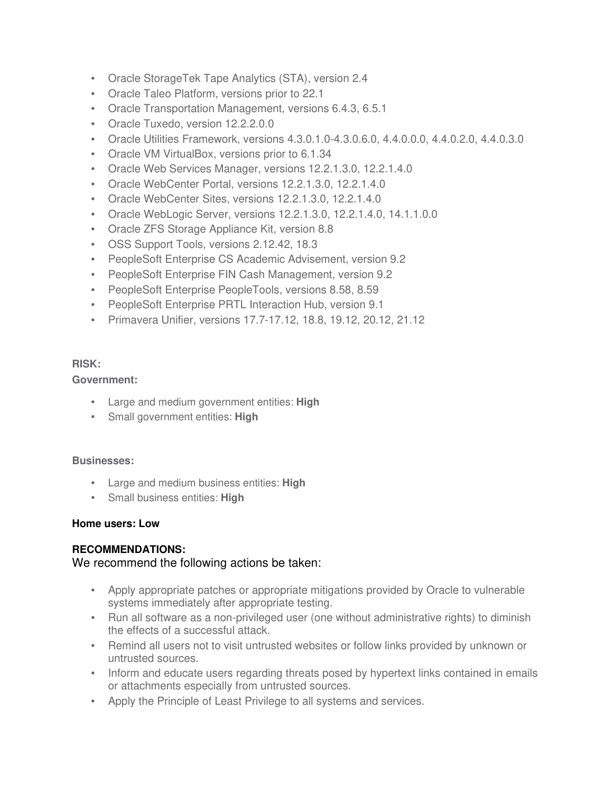- Oracle StorageTek Tape Analytics (STA), version 2.4
- Oracle Taleo Platform, versions prior to 22.1
- Oracle Transportation Management, versions 6.4.3, 6.5.1
- Oracle Tuxedo, version 12.2.2.0.0
- Oracle Utilities Framework, versions 4.3.0.1.0-4.3.0.6.0, 4.4.0.0.0, 4.4.0.2.0, 4.4.0.3.0
- Oracle VM VirtualBox, versions prior to 6.1.34
- Oracle Web Services Manager, versions 12.2.1.3.0, 12.2.1.4.0
- Oracle WebCenter Portal, versions 12.2.1.3.0, 12.2.1.4.0
- Oracle WebCenter Sites, versions 12.2.1.3.0, 12.2.1.4.0
- Oracle WebLogic Server, versions 12.2.1.3.0, 12.2.1.4.0, 14.1.1.0.0
- Oracle ZFS Storage Appliance Kit, version 8.8
- OSS Support Tools, versions 2.12.42, 18.3
- PeopleSoft Enterprise CS Academic Advisement, version 9.2
- PeopleSoft Enterprise FIN Cash Management, version 9.2
- PeopleSoft Enterprise PeopleTools, versions 8.58, 8.59
- PeopleSoft Enterprise PRTL Interaction Hub, version 9.1
- Primavera Unifier, versions 17.7-17.12, 18.8, 19.12, 20.12, 21.12

### **RISK:**

#### **Government:**

- Large and medium government entities: **High**
- Small government entities: **High**

#### **Businesses:**

- Large and medium business entities: **High**
- Small business entities: **High**

### **Home users: Low**

### **RECOMMENDATIONS:**

### We recommend the following actions be taken:

- Apply appropriate patches or appropriate mitigations provided by Oracle to vulnerable systems immediately after appropriate testing.
- Run all software as a non-privileged user (one without administrative rights) to diminish the effects of a successful attack.
- Remind all users not to visit untrusted websites or follow links provided by unknown or untrusted sources.
- Inform and educate users regarding threats posed by hypertext links contained in emails or attachments especially from untrusted sources.
- Apply the Principle of Least Privilege to all systems and services.